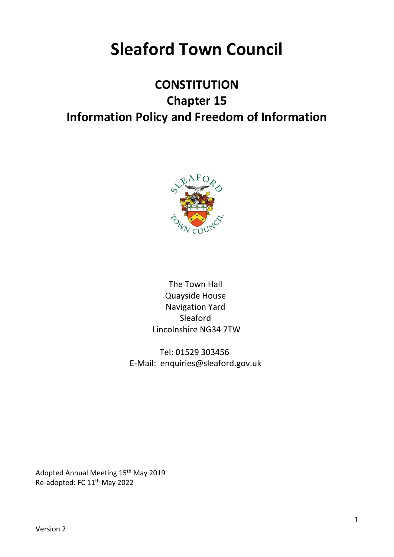# **Sleaford Town Council**

# **CONSTITUTION Chapter 15 Information Policy and Freedom of Information**



The Town Hall Quayside House Navigation Yard Sleaford Lincolnshire NG34 7TW

Tel: 01529 303456 E-Mail: enquiries@sleaford.gov.uk

Adopted Annual Meeting 15<sup>th</sup> May 2019 Re-adopted: FC 11th May 2022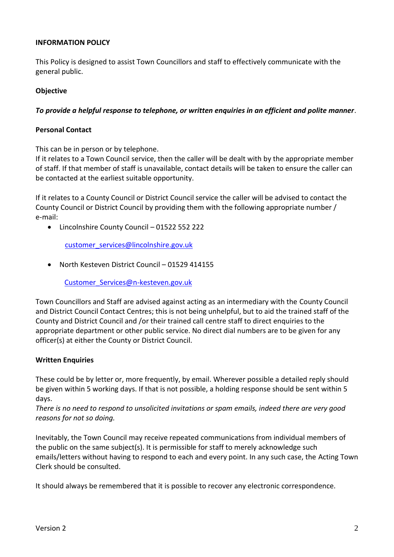# **INFORMATION POLICY**

This Policy is designed to assist Town Councillors and staff to effectively communicate with the general public.

# **Objective**

# *To provide a helpful response to telephone, or written enquiries in an efficient and polite manner*.

## **Personal Contact**

This can be in person or by telephone.

If it relates to a Town Council service, then the caller will be dealt with by the appropriate member of staff. If that member of staff is unavailable, contact details will be taken to ensure the caller can be contacted at the earliest suitable opportunity.

If it relates to a County Council or District Council service the caller will be advised to contact the County Council or District Council by providing them with the following appropriate number / e-mail:

• Lincolnshire County Council – 01522 552 222

customer**\_**[services@lincolnshire.gov.uk](mailto:customer_services@lincolnshire.gov.uk)

• North Kesteven District Council – 01529 414155

[Customer\\_Services@n-kesteven.gov.uk](mailto:Customer_Services@n-kesteven.gov.uk)

Town Councillors and Staff are advised against acting as an intermediary with the County Council and District Council Contact Centres; this is not being unhelpful, but to aid the trained staff of the County and District Council and /or their trained call centre staff to direct enquiries to the appropriate department or other public service. No direct dial numbers are to be given for any officer(s) at either the County or District Council.

## **Written Enquiries**

These could be by letter or, more frequently, by email. Wherever possible a detailed reply should be given within 5 working days. If that is not possible, a holding response should be sent within 5 days.

*There is no need to respond to unsolicited invitations or spam emails, indeed there are very good reasons for not so doing.*

Inevitably, the Town Council may receive repeated communications from individual members of the public on the same subject(s). It is permissible for staff to merely acknowledge such emails/letters without having to respond to each and every point. In any such case, the Acting Town Clerk should be consulted.

It should always be remembered that it is possible to recover any electronic correspondence.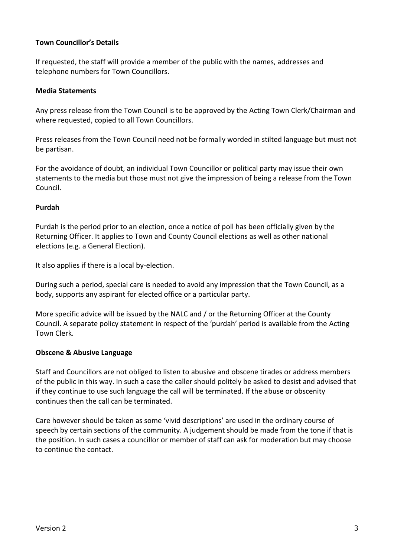# **Town Councillor's Details**

If requested, the staff will provide a member of the public with the names, addresses and telephone numbers for Town Councillors.

## **Media Statements**

Any press release from the Town Council is to be approved by the Acting Town Clerk/Chairman and where requested, copied to all Town Councillors.

Press releases from the Town Council need not be formally worded in stilted language but must not be partisan.

For the avoidance of doubt, an individual Town Councillor or political party may issue their own statements to the media but those must not give the impression of being a release from the Town Council.

# **Purdah**

Purdah is the period prior to an election, once a notice of poll has been officially given by the Returning Officer. It applies to Town and County Council elections as well as other national elections (e.g. a General Election).

It also applies if there is a local by-election.

During such a period, special care is needed to avoid any impression that the Town Council, as a body, supports any aspirant for elected office or a particular party.

More specific advice will be issued by the NALC and / or the Returning Officer at the County Council. A separate policy statement in respect of the 'purdah' period is available from the Acting Town Clerk.

## **Obscene & Abusive Language**

Staff and Councillors are not obliged to listen to abusive and obscene tirades or address members of the public in this way. In such a case the caller should politely be asked to desist and advised that if they continue to use such language the call will be terminated. If the abuse or obscenity continues then the call can be terminated.

Care however should be taken as some 'vivid descriptions' are used in the ordinary course of speech by certain sections of the community. A judgement should be made from the tone if that is the position. In such cases a councillor or member of staff can ask for moderation but may choose to continue the contact.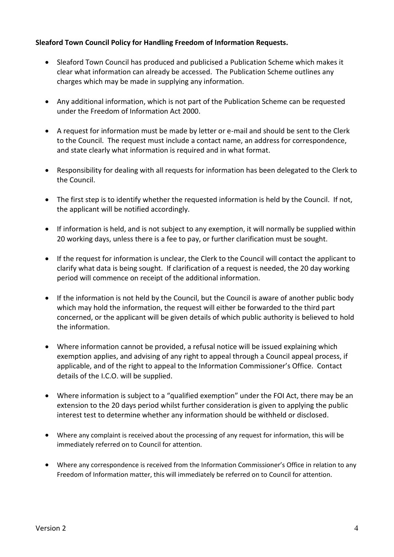# **Sleaford Town Council Policy for Handling Freedom of Information Requests.**

- Sleaford Town Council has produced and publicised a Publication Scheme which makes it clear what information can already be accessed. The Publication Scheme outlines any charges which may be made in supplying any information.
- Any additional information, which is not part of the Publication Scheme can be requested under the Freedom of Information Act 2000.
- A request for information must be made by letter or e-mail and should be sent to the Clerk to the Council. The request must include a contact name, an address for correspondence, and state clearly what information is required and in what format.
- Responsibility for dealing with all requests for information has been delegated to the Clerk to the Council.
- The first step is to identify whether the requested information is held by the Council. If not, the applicant will be notified accordingly.
- If information is held, and is not subject to any exemption, it will normally be supplied within 20 working days, unless there is a fee to pay, or further clarification must be sought.
- If the request for information is unclear, the Clerk to the Council will contact the applicant to clarify what data is being sought. If clarification of a request is needed, the 20 day working period will commence on receipt of the additional information.
- If the information is not held by the Council, but the Council is aware of another public body which may hold the information, the request will either be forwarded to the third part concerned, or the applicant will be given details of which public authority is believed to hold the information.
- Where information cannot be provided, a refusal notice will be issued explaining which exemption applies, and advising of any right to appeal through a Council appeal process, if applicable, and of the right to appeal to the Information Commissioner's Office. Contact details of the I.C.O. will be supplied.
- Where information is subject to a "qualified exemption" under the FOI Act, there may be an extension to the 20 days period whilst further consideration is given to applying the public interest test to determine whether any information should be withheld or disclosed.
- Where any complaint is received about the processing of any request for information, this will be immediately referred on to Council for attention.
- Where any correspondence is received from the Information Commissioner's Office in relation to any Freedom of Information matter, this will immediately be referred on to Council for attention.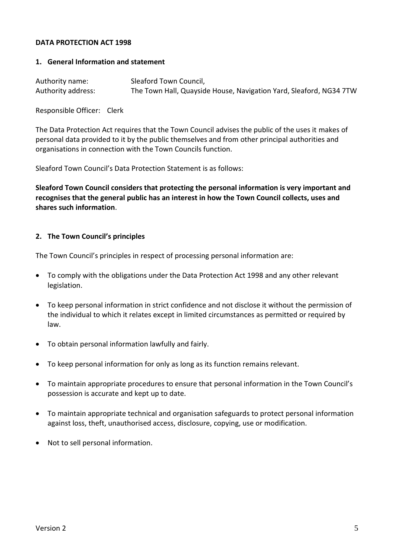## **DATA PROTECTION ACT 1998**

## **1. General Information and statement**

| Authority name:    | Sleaford Town Council,                                             |
|--------------------|--------------------------------------------------------------------|
| Authority address: | The Town Hall, Quayside House, Navigation Yard, Sleaford, NG34 7TW |

Responsible Officer: Clerk

The Data Protection Act requires that the Town Council advises the public of the uses it makes of personal data provided to it by the public themselves and from other principal authorities and organisations in connection with the Town Councils function.

Sleaford Town Council's Data Protection Statement is as follows:

**Sleaford Town Council considers that protecting the personal information is very important and recognises that the general public has an interest in how the Town Council collects, uses and shares such information**.

## **2. The Town Council's principles**

The Town Council's principles in respect of processing personal information are:

- To comply with the obligations under the Data Protection Act 1998 and any other relevant legislation.
- To keep personal information in strict confidence and not disclose it without the permission of the individual to which it relates except in limited circumstances as permitted or required by law.
- To obtain personal information lawfully and fairly.
- To keep personal information for only as long as its function remains relevant.
- To maintain appropriate procedures to ensure that personal information in the Town Council's possession is accurate and kept up to date.
- To maintain appropriate technical and organisation safeguards to protect personal information against loss, theft, unauthorised access, disclosure, copying, use or modification.
- Not to sell personal information.